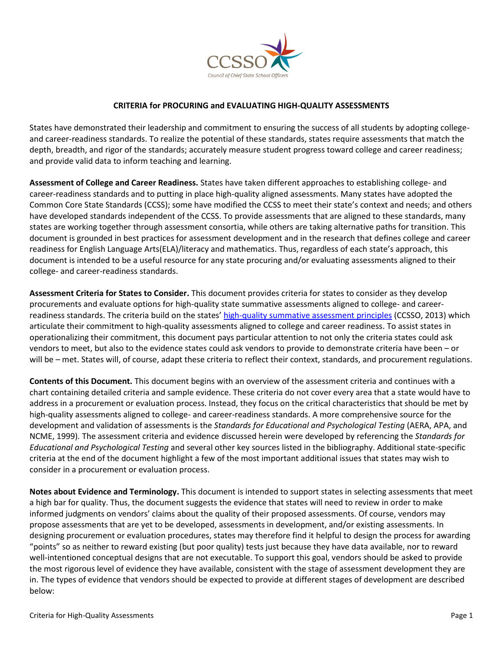

### **CRITERIA for PROCURING and EVALUATING HIGH-QUALITY ASSESSMENTS**

States have demonstrated their leadership and commitment to ensuring the success of all students by adopting collegeand career-readiness standards. To realize the potential of these standards, states require assessments that match the depth, breadth, and rigor of the standards; accurately measure student progress toward college and career readiness; and provide valid data to inform teaching and learning.

**Assessment of College and Career Readiness.** States have taken different approaches to establishing college- and career-readiness standards and to putting in place high-quality aligned assessments. Many states have adopted the Common Core State Standards (CCSS); some have modified the CCSS to meet their state's context and needs; and others have developed standards independent of the CCSS. To provide assessments that are aligned to these standards, many states are working together through assessment consortia, while others are taking alternative paths for transition. This document is grounded in best practices for assessment development and in the research that defines college and career readiness for English Language Arts(ELA)/literacy and mathematics. Thus, regardless of each state's approach, this document is intended to be a useful resource for any state procuring and/or evaluating assessments aligned to their college- and career-readiness standards.

**Assessment Criteria for States to Consider.** This document provides criteria for states to consider as they develop procurements and evaluate options for high-quality state summative assessments aligned to college- and careerreadiness standards. The criteria build on the states' [high-quality summative assessment principles](http://www.ccsso.org/Documents/2013/CCSSO%20Assessment%20Quality%20Principles%2010-1-13%20FINAL.pdf) (CCSSO, 2013) which articulate their commitment to high-quality assessments aligned to college and career readiness. To assist states in operationalizing their commitment, this document pays particular attention to not only the criteria states could ask vendors to meet, but also to the evidence states could ask vendors to provide to demonstrate criteria have been – or will be – met. States will, of course, adapt these criteria to reflect their context, standards, and procurement regulations.

**Contents of this Document.** This document begins with an overview of the assessment criteria and continues with a chart containing detailed criteria and sample evidence. These criteria do not cover every area that a state would have to address in a procurement or evaluation process. Instead, they focus on the critical characteristics that should be met by high-quality assessments aligned to college- and career-readiness standards. A more comprehensive source for the development and validation of assessments is the *Standards for Educational and Psychological Testing* (AERA, APA, and NCME, 1999)*.* The assessment criteria and evidence discussed herein were developed by referencing the *Standards for Educational and Psychological Testing* and several other key sources listed in the bibliography. Additional state-specific criteria at the end of the document highlight a few of the most important additional issues that states may wish to consider in a procurement or evaluation process.

**Notes about Evidence and Terminology.** This document is intended to support states in selecting assessments that meet a high bar for quality. Thus, the document suggests the evidence that states will need to review in order to make informed judgments on vendors' claims about the quality of their proposed assessments. Of course, vendors may propose assessments that are yet to be developed, assessments in development, and/or existing assessments. In designing procurement or evaluation procedures, states may therefore find it helpful to design the process for awarding "points" so as neither to reward existing (but poor quality) tests just because they have data available, nor to reward well-intentioned conceptual designs that are not executable. To support this goal, vendors should be asked to provide the most rigorous level of evidence they have available, consistent with the stage of assessment development they are in. The types of evidence that vendors should be expected to provide at different stages of development are described below: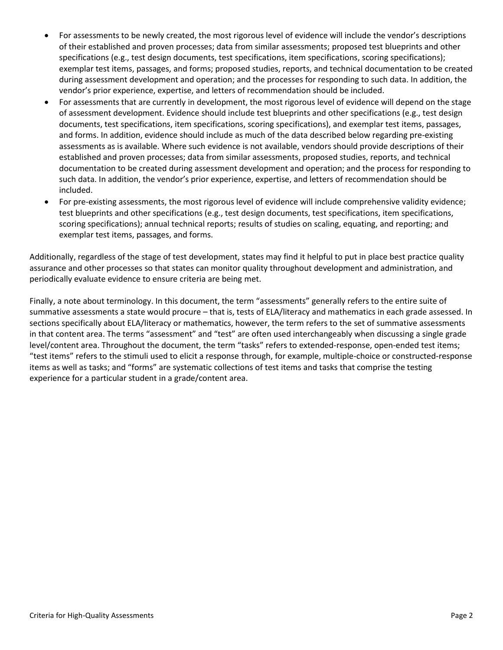- For assessments to be newly created, the most rigorous level of evidence will include the vendor's descriptions of their established and proven processes; data from similar assessments; proposed test blueprints and other specifications (e.g., test design documents, test specifications, item specifications, scoring specifications); exemplar test items, passages, and forms; proposed studies, reports, and technical documentation to be created during assessment development and operation; and the processes for responding to such data. In addition, the vendor's prior experience, expertise, and letters of recommendation should be included.
- For assessments that are currently in development, the most rigorous level of evidence will depend on the stage of assessment development. Evidence should include test blueprints and other specifications (e.g., test design documents, test specifications, item specifications, scoring specifications), and exemplar test items, passages, and forms. In addition, evidence should include as much of the data described below regarding pre-existing assessments as is available. Where such evidence is not available, vendors should provide descriptions of their established and proven processes; data from similar assessments, proposed studies, reports, and technical documentation to be created during assessment development and operation; and the process for responding to such data. In addition, the vendor's prior experience, expertise, and letters of recommendation should be included.
- For pre-existing assessments, the most rigorous level of evidence will include comprehensive validity evidence; test blueprints and other specifications (e.g., test design documents, test specifications, item specifications, scoring specifications); annual technical reports; results of studies on scaling, equating, and reporting; and exemplar test items, passages, and forms.

Additionally, regardless of the stage of test development, states may find it helpful to put in place best practice quality assurance and other processes so that states can monitor quality throughout development and administration, and periodically evaluate evidence to ensure criteria are being met.

Finally, a note about terminology. In this document, the term "assessments" generally refers to the entire suite of summative assessments a state would procure – that is, tests of ELA/literacy and mathematics in each grade assessed. In sections specifically about ELA/literacy or mathematics, however, the term refers to the set of summative assessments in that content area. The terms "assessment" and "test" are often used interchangeably when discussing a single grade level/content area. Throughout the document, the term "tasks" refers to extended-response, open-ended test items; "test items" refers to the stimuli used to elicit a response through, for example, multiple-choice or constructed-response items as well as tasks; and "forms" are systematic collections of test items and tasks that comprise the testing experience for a particular student in a grade/content area.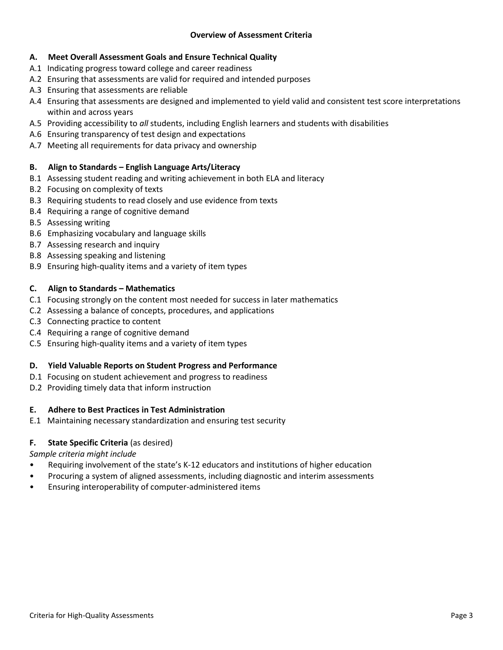# **A. Meet Overall Assessment Goals and Ensure Technical Quality**

- A.1 Indicating progress toward college and career readiness
- A.2 Ensuring that assessments are valid for required and intended purposes
- A.3 Ensuring that assessments are reliable
- A.4 Ensuring that assessments are designed and implemented to yield valid and consistent test score interpretations within and across years
- A.5 Providing accessibility to *all* students, including English learners and students with disabilities
- A.6 Ensuring transparency of test design and expectations
- A.7 Meeting all requirements for data privacy and ownership

# **B. Align to Standards – English Language Arts/Literacy**

- B.1 Assessing student reading and writing achievement in both ELA and literacy
- B.2 Focusing on complexity of texts
- B.3 Requiring students to read closely and use evidence from texts
- B.4 Requiring a range of cognitive demand
- B.5 Assessing writing
- B.6 Emphasizing vocabulary and language skills
- B.7 Assessing research and inquiry
- B.8 Assessing speaking and listening
- B.9 Ensuring high-quality items and a variety of item types

### **C. Align to Standards – Mathematics**

- C.1 Focusing strongly on the content most needed for success in later mathematics
- C.2 Assessing a balance of concepts, procedures, and applications
- C.3 Connecting practice to content
- C.4 Requiring a range of cognitive demand
- C.5 Ensuring high-quality items and a variety of item types

### **D. Yield Valuable Reports on Student Progress and Performance**

- D.1 Focusing on student achievement and progress to readiness
- D.2 Providing timely data that inform instruction

# **E. Adhere to Best Practices in Test Administration**

E.1 Maintaining necessary standardization and ensuring test security

# **F. State Specific Criteria** (as desired)

*Sample criteria might include*

- Requiring involvement of the state's K-12 educators and institutions of higher education
- Procuring a system of aligned assessments, including diagnostic and interim assessments
- Ensuring interoperability of computer-administered items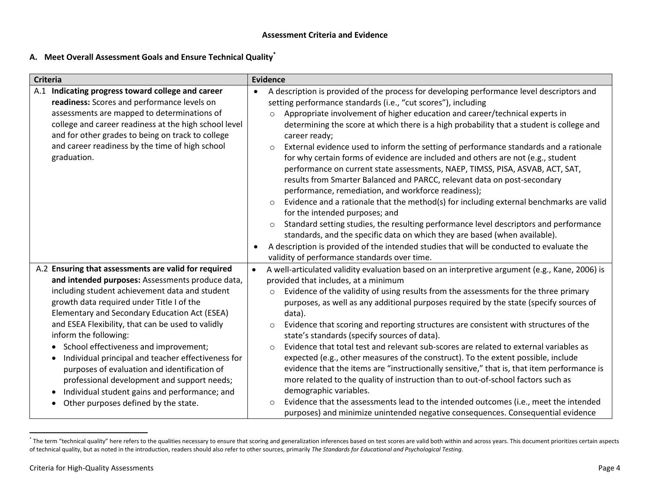### **Assessment Criteria and Evidence**

# **A. Meet Overall Assessment Goals and Ensure Technical Quality\***

| <b>Criteria</b>                                                                                                                                                                                                                                                                                                                                                                                                                                                                                                                                                                                                                              | <b>Evidence</b>                                                                                                                                                                                                                                                                                                                                                                                                                                                                                                                                                                                                                                                                                                                                                                                                                                                                                                                                                                                                                                                                                                                                                                                                                                                               |  |
|----------------------------------------------------------------------------------------------------------------------------------------------------------------------------------------------------------------------------------------------------------------------------------------------------------------------------------------------------------------------------------------------------------------------------------------------------------------------------------------------------------------------------------------------------------------------------------------------------------------------------------------------|-------------------------------------------------------------------------------------------------------------------------------------------------------------------------------------------------------------------------------------------------------------------------------------------------------------------------------------------------------------------------------------------------------------------------------------------------------------------------------------------------------------------------------------------------------------------------------------------------------------------------------------------------------------------------------------------------------------------------------------------------------------------------------------------------------------------------------------------------------------------------------------------------------------------------------------------------------------------------------------------------------------------------------------------------------------------------------------------------------------------------------------------------------------------------------------------------------------------------------------------------------------------------------|--|
| A.1 Indicating progress toward college and career<br>readiness: Scores and performance levels on<br>assessments are mapped to determinations of<br>college and career readiness at the high school level<br>and for other grades to being on track to college<br>and career readiness by the time of high school<br>graduation.                                                                                                                                                                                                                                                                                                              | A description is provided of the process for developing performance level descriptors and<br>$\bullet$<br>setting performance standards (i.e., "cut scores"), including<br>Appropriate involvement of higher education and career/technical experts in<br>$\circ$<br>determining the score at which there is a high probability that a student is college and<br>career ready;<br>External evidence used to inform the setting of performance standards and a rationale<br>$\circ$<br>for why certain forms of evidence are included and others are not (e.g., student<br>performance on current state assessments, NAEP, TIMSS, PISA, ASVAB, ACT, SAT,<br>results from Smarter Balanced and PARCC, relevant data on post-secondary<br>performance, remediation, and workforce readiness);<br>Evidence and a rationale that the method(s) for including external benchmarks are valid<br>$\circ$<br>for the intended purposes; and<br>Standard setting studies, the resulting performance level descriptors and performance<br>$\circ$<br>standards, and the specific data on which they are based (when available).<br>A description is provided of the intended studies that will be conducted to evaluate the<br>$\bullet$<br>validity of performance standards over time. |  |
| A.2 Ensuring that assessments are valid for required<br>and intended purposes: Assessments produce data,<br>including student achievement data and student<br>growth data required under Title I of the<br>Elementary and Secondary Education Act (ESEA)<br>and ESEA Flexibility, that can be used to validly<br>inform the following:<br>• School effectiveness and improvement;<br>Individual principal and teacher effectiveness for<br>purposes of evaluation and identification of<br>professional development and support needs;<br>Individual student gains and performance; and<br>Other purposes defined by the state.<br>$\bullet$ | A well-articulated validity evaluation based on an interpretive argument (e.g., Kane, 2006) is<br>provided that includes, at a minimum<br>Evidence of the validity of using results from the assessments for the three primary<br>$\circ$<br>purposes, as well as any additional purposes required by the state (specify sources of<br>data).<br>Evidence that scoring and reporting structures are consistent with structures of the<br>$\circ$<br>state's standards (specify sources of data).<br>Evidence that total test and relevant sub-scores are related to external variables as<br>$\circ$<br>expected (e.g., other measures of the construct). To the extent possible, include<br>evidence that the items are "instructionally sensitive," that is, that item performance is<br>more related to the quality of instruction than to out-of-school factors such as<br>demographic variables.<br>Evidence that the assessments lead to the intended outcomes (i.e., meet the intended<br>$\circ$<br>purposes) and minimize unintended negative consequences. Consequential evidence                                                                                                                                                                                   |  |

The term "technical quality" here refers to the qualities necessary to ensure that scoring and generalization inferences based on test scores are valid both within and across years. This document prioritizes certain aspect of technical quality, but as noted in the introduction, readers should also refer to other sources, primarily *The Standards for Educational and Psychological Testing*.

 $\overline{\phantom{a}}$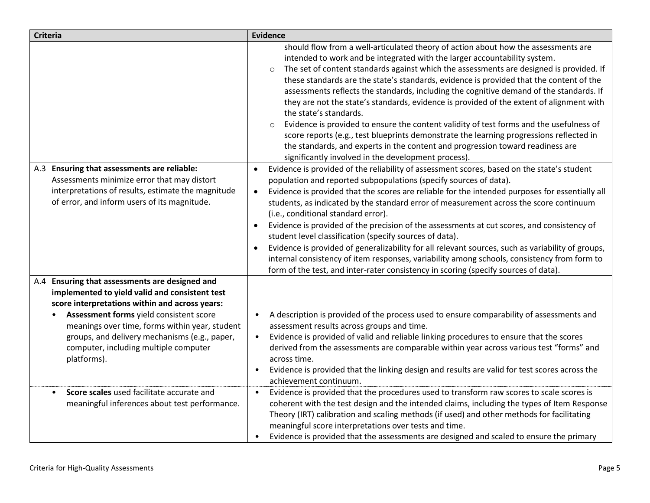| <b>Criteria</b>                                                                                                                                                                                                 | <b>Evidence</b>                                                                                                                                                                                                                                                                                                                                                                                                                                                                                                                                                                                                                                                                                                                                                                                                                                                                                                             |
|-----------------------------------------------------------------------------------------------------------------------------------------------------------------------------------------------------------------|-----------------------------------------------------------------------------------------------------------------------------------------------------------------------------------------------------------------------------------------------------------------------------------------------------------------------------------------------------------------------------------------------------------------------------------------------------------------------------------------------------------------------------------------------------------------------------------------------------------------------------------------------------------------------------------------------------------------------------------------------------------------------------------------------------------------------------------------------------------------------------------------------------------------------------|
|                                                                                                                                                                                                                 | should flow from a well-articulated theory of action about how the assessments are<br>intended to work and be integrated with the larger accountability system.<br>The set of content standards against which the assessments are designed is provided. If<br>$\circ$<br>these standards are the state's standards, evidence is provided that the content of the<br>assessments reflects the standards, including the cognitive demand of the standards. If<br>they are not the state's standards, evidence is provided of the extent of alignment with<br>the state's standards.<br>Evidence is provided to ensure the content validity of test forms and the usefulness of<br>$\circ$<br>score reports (e.g., test blueprints demonstrate the learning progressions reflected in<br>the standards, and experts in the content and progression toward readiness are<br>significantly involved in the development process). |
| A.3 Ensuring that assessments are reliable:<br>Assessments minimize error that may distort<br>interpretations of results, estimate the magnitude<br>of error, and inform users of its magnitude.                | Evidence is provided of the reliability of assessment scores, based on the state's student<br>$\bullet$<br>population and reported subpopulations (specify sources of data).<br>Evidence is provided that the scores are reliable for the intended purposes for essentially all<br>$\bullet$<br>students, as indicated by the standard error of measurement across the score continuum<br>(i.e., conditional standard error).<br>Evidence is provided of the precision of the assessments at cut scores, and consistency of<br>$\bullet$<br>student level classification (specify sources of data).<br>Evidence is provided of generalizability for all relevant sources, such as variability of groups,<br>$\bullet$<br>internal consistency of item responses, variability among schools, consistency from form to<br>form of the test, and inter-rater consistency in scoring (specify sources of data).                 |
| A.4 Ensuring that assessments are designed and<br>implemented to yield valid and consistent test<br>score interpretations within and across years:                                                              |                                                                                                                                                                                                                                                                                                                                                                                                                                                                                                                                                                                                                                                                                                                                                                                                                                                                                                                             |
| Assessment forms yield consistent score<br>$\bullet$<br>meanings over time, forms within year, student<br>groups, and delivery mechanisms (e.g., paper,<br>computer, including multiple computer<br>platforms). | A description is provided of the process used to ensure comparability of assessments and<br>$\bullet$<br>assessment results across groups and time.<br>Evidence is provided of valid and reliable linking procedures to ensure that the scores<br>$\bullet$<br>derived from the assessments are comparable within year across various test "forms" and<br>across time.<br>Evidence is provided that the linking design and results are valid for test scores across the<br>$\bullet$<br>achievement continuum.                                                                                                                                                                                                                                                                                                                                                                                                              |
| Score scales used facilitate accurate and<br>$\bullet$<br>meaningful inferences about test performance.                                                                                                         | Evidence is provided that the procedures used to transform raw scores to scale scores is<br>coherent with the test design and the intended claims, including the types of Item Response<br>Theory (IRT) calibration and scaling methods (if used) and other methods for facilitating<br>meaningful score interpretations over tests and time.<br>Evidence is provided that the assessments are designed and scaled to ensure the primary                                                                                                                                                                                                                                                                                                                                                                                                                                                                                    |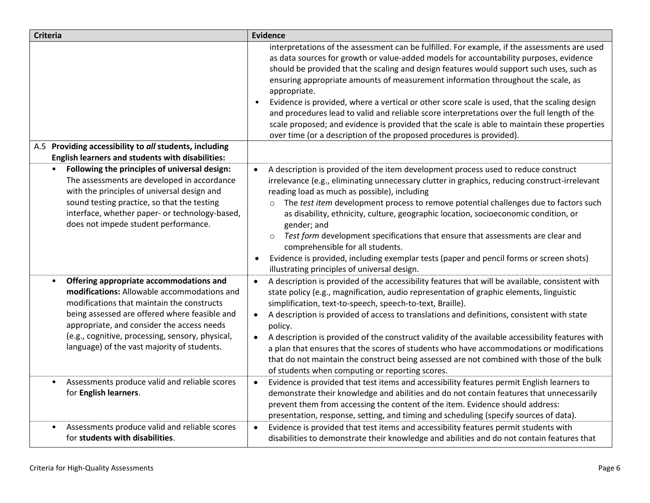| <b>Criteria</b>                                                                                                                                                                                                                                                                                                                        | <b>Evidence</b>                                                                                                                                                                                                                                                                                                                                                                                                                                                                                                                                                                                                                                                                                                                                               |
|----------------------------------------------------------------------------------------------------------------------------------------------------------------------------------------------------------------------------------------------------------------------------------------------------------------------------------------|---------------------------------------------------------------------------------------------------------------------------------------------------------------------------------------------------------------------------------------------------------------------------------------------------------------------------------------------------------------------------------------------------------------------------------------------------------------------------------------------------------------------------------------------------------------------------------------------------------------------------------------------------------------------------------------------------------------------------------------------------------------|
|                                                                                                                                                                                                                                                                                                                                        | interpretations of the assessment can be fulfilled. For example, if the assessments are used<br>as data sources for growth or value-added models for accountability purposes, evidence<br>should be provided that the scaling and design features would support such uses, such as<br>ensuring appropriate amounts of measurement information throughout the scale, as<br>appropriate.<br>Evidence is provided, where a vertical or other score scale is used, that the scaling design<br>and procedures lead to valid and reliable score interpretations over the full length of the<br>scale proposed; and evidence is provided that the scale is able to maintain these properties<br>over time (or a description of the proposed procedures is provided). |
| A.5 Providing accessibility to all students, including<br>English learners and students with disabilities:                                                                                                                                                                                                                             |                                                                                                                                                                                                                                                                                                                                                                                                                                                                                                                                                                                                                                                                                                                                                               |
| Following the principles of universal design:<br>The assessments are developed in accordance<br>with the principles of universal design and<br>sound testing practice, so that the testing<br>interface, whether paper- or technology-based,<br>does not impede student performance.                                                   | A description is provided of the item development process used to reduce construct<br>$\bullet$<br>irrelevance (e.g., eliminating unnecessary clutter in graphics, reducing construct-irrelevant<br>reading load as much as possible), including<br>The test item development process to remove potential challenges due to factors such<br>$\circ$<br>as disability, ethnicity, culture, geographic location, socioeconomic condition, or<br>gender; and<br>Test form development specifications that ensure that assessments are clear and<br>$\circ$<br>comprehensible for all students.<br>Evidence is provided, including exemplar tests (paper and pencil forms or screen shots)<br>٠<br>illustrating principles of universal design.                   |
| Offering appropriate accommodations and<br>modifications: Allowable accommodations and<br>modifications that maintain the constructs<br>being assessed are offered where feasible and<br>appropriate, and consider the access needs<br>(e.g., cognitive, processing, sensory, physical,<br>language) of the vast majority of students. | A description is provided of the accessibility features that will be available, consistent with<br>$\bullet$<br>state policy (e.g., magnification, audio representation of graphic elements, linguistic<br>simplification, text-to-speech, speech-to-text, Braille).<br>A description is provided of access to translations and definitions, consistent with state<br>$\bullet$<br>policy.<br>A description is provided of the construct validity of the available accessibility features with<br>$\bullet$<br>a plan that ensures that the scores of students who have accommodations or modifications<br>that do not maintain the construct being assessed are not combined with those of the bulk<br>of students when computing or reporting scores.       |
| Assessments produce valid and reliable scores<br>for English learners.                                                                                                                                                                                                                                                                 | Evidence is provided that test items and accessibility features permit English learners to<br>$\bullet$<br>demonstrate their knowledge and abilities and do not contain features that unnecessarily<br>prevent them from accessing the content of the item. Evidence should address:<br>presentation, response, setting, and timing and scheduling (specify sources of data).                                                                                                                                                                                                                                                                                                                                                                                 |
| Assessments produce valid and reliable scores<br>for students with disabilities.                                                                                                                                                                                                                                                       | Evidence is provided that test items and accessibility features permit students with<br>$\bullet$<br>disabilities to demonstrate their knowledge and abilities and do not contain features that                                                                                                                                                                                                                                                                                                                                                                                                                                                                                                                                                               |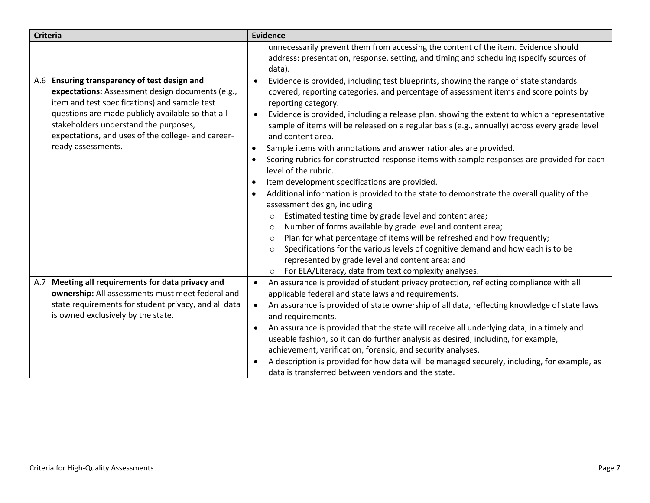| <b>Criteria</b>                                                                                                                                                                                                                                                                                                             | <b>Evidence</b>                                                                                                                                                                                                                                                                                                                                                                                                                                                                                                                                                                                                                                                                                                                                                                                                                                                                                                                                                                                                                                                                                                                                                                                                                                                                           |
|-----------------------------------------------------------------------------------------------------------------------------------------------------------------------------------------------------------------------------------------------------------------------------------------------------------------------------|-------------------------------------------------------------------------------------------------------------------------------------------------------------------------------------------------------------------------------------------------------------------------------------------------------------------------------------------------------------------------------------------------------------------------------------------------------------------------------------------------------------------------------------------------------------------------------------------------------------------------------------------------------------------------------------------------------------------------------------------------------------------------------------------------------------------------------------------------------------------------------------------------------------------------------------------------------------------------------------------------------------------------------------------------------------------------------------------------------------------------------------------------------------------------------------------------------------------------------------------------------------------------------------------|
|                                                                                                                                                                                                                                                                                                                             | unnecessarily prevent them from accessing the content of the item. Evidence should<br>address: presentation, response, setting, and timing and scheduling (specify sources of<br>data).                                                                                                                                                                                                                                                                                                                                                                                                                                                                                                                                                                                                                                                                                                                                                                                                                                                                                                                                                                                                                                                                                                   |
| A.6 Ensuring transparency of test design and<br>expectations: Assessment design documents (e.g.,<br>item and test specifications) and sample test<br>questions are made publicly available so that all<br>stakeholders understand the purposes,<br>expectations, and uses of the college- and career-<br>ready assessments. | Evidence is provided, including test blueprints, showing the range of state standards<br>covered, reporting categories, and percentage of assessment items and score points by<br>reporting category.<br>Evidence is provided, including a release plan, showing the extent to which a representative<br>sample of items will be released on a regular basis (e.g., annually) across every grade level<br>and content area.<br>Sample items with annotations and answer rationales are provided.<br>$\bullet$<br>Scoring rubrics for constructed-response items with sample responses are provided for each<br>level of the rubric.<br>Item development specifications are provided.<br>$\bullet$<br>Additional information is provided to the state to demonstrate the overall quality of the<br>assessment design, including<br>Estimated testing time by grade level and content area;<br>$\circ$<br>Number of forms available by grade level and content area;<br>$\circ$<br>Plan for what percentage of items will be refreshed and how frequently;<br>$\circ$<br>Specifications for the various levels of cognitive demand and how each is to be<br>$\circ$<br>represented by grade level and content area; and<br>For ELA/Literacy, data from text complexity analyses.<br>$\circ$ |
| Meeting all requirements for data privacy and<br>A.7<br>ownership: All assessments must meet federal and<br>state requirements for student privacy, and all data<br>is owned exclusively by the state.                                                                                                                      | An assurance is provided of student privacy protection, reflecting compliance with all<br>$\bullet$<br>applicable federal and state laws and requirements.<br>An assurance is provided of state ownership of all data, reflecting knowledge of state laws<br>$\bullet$<br>and requirements.<br>An assurance is provided that the state will receive all underlying data, in a timely and<br>useable fashion, so it can do further analysis as desired, including, for example,<br>achievement, verification, forensic, and security analyses.<br>A description is provided for how data will be managed securely, including, for example, as<br>data is transferred between vendors and the state.                                                                                                                                                                                                                                                                                                                                                                                                                                                                                                                                                                                        |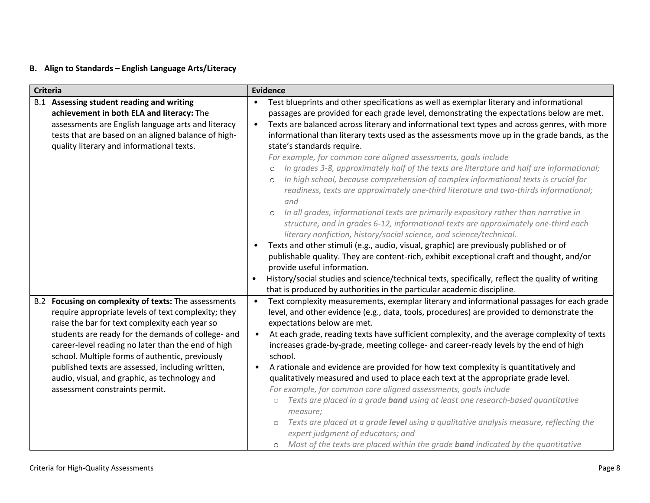# **B. Align to Standards – English Language Arts/Literacy**

| <b>Criteria</b> |                                                                                                                                                                                                                                                                                                                                                                                                                                                                     | <b>Evidence</b>                                         |                                                                                                                                                                                                                                                                                                                                                                                                                                                                                                                                                                                                                                                                                                                                                                                                                                                                                                                                                                                                                                                                                                                                                                                                                                                                                                                                                          |  |
|-----------------|---------------------------------------------------------------------------------------------------------------------------------------------------------------------------------------------------------------------------------------------------------------------------------------------------------------------------------------------------------------------------------------------------------------------------------------------------------------------|---------------------------------------------------------|----------------------------------------------------------------------------------------------------------------------------------------------------------------------------------------------------------------------------------------------------------------------------------------------------------------------------------------------------------------------------------------------------------------------------------------------------------------------------------------------------------------------------------------------------------------------------------------------------------------------------------------------------------------------------------------------------------------------------------------------------------------------------------------------------------------------------------------------------------------------------------------------------------------------------------------------------------------------------------------------------------------------------------------------------------------------------------------------------------------------------------------------------------------------------------------------------------------------------------------------------------------------------------------------------------------------------------------------------------|--|
|                 | B.1 Assessing student reading and writing<br>achievement in both ELA and literacy: The<br>assessments are English language arts and literacy<br>tests that are based on an aligned balance of high-<br>quality literary and informational texts.                                                                                                                                                                                                                    | $\bullet$<br>$\bullet$<br>$\circ$<br>$\circ$<br>$\circ$ | Test blueprints and other specifications as well as exemplar literary and informational<br>passages are provided for each grade level, demonstrating the expectations below are met.<br>Texts are balanced across literary and informational text types and across genres, with more<br>informational than literary texts used as the assessments move up in the grade bands, as the<br>state's standards require.<br>For example, for common core aligned assessments, goals include<br>In grades 3-8, approximately half of the texts are literature and half are informational;<br>In high school, because comprehension of complex informational texts is crucial for<br>readiness, texts are approximately one-third literature and two-thirds informational;<br>and<br>In all grades, informational texts are primarily expository rather than narrative in<br>structure, and in grades 6-12, informational texts are approximately one-third each<br>literary nonfiction, history/social science, and science/technical.<br>Texts and other stimuli (e.g., audio, visual, graphic) are previously published or of<br>publishable quality. They are content-rich, exhibit exceptional craft and thought, and/or<br>provide useful information.<br>History/social studies and science/technical texts, specifically, reflect the quality of writing |  |
|                 | B.2 Focusing on complexity of texts: The assessments<br>require appropriate levels of text complexity; they<br>raise the bar for text complexity each year so<br>students are ready for the demands of college- and<br>career-level reading no later than the end of high<br>school. Multiple forms of authentic, previously<br>published texts are assessed, including written,<br>audio, visual, and graphic, as technology and<br>assessment constraints permit. | $\bullet$<br>$\bullet$                                  | that is produced by authorities in the particular academic discipline.<br>Text complexity measurements, exemplar literary and informational passages for each grade<br>level, and other evidence (e.g., data, tools, procedures) are provided to demonstrate the<br>expectations below are met.<br>At each grade, reading texts have sufficient complexity, and the average complexity of texts<br>increases grade-by-grade, meeting college- and career-ready levels by the end of high<br>school.<br>A rationale and evidence are provided for how text complexity is quantitatively and<br>qualitatively measured and used to place each text at the appropriate grade level.<br>For example, for common core aligned assessments, goals include<br>Texts are placed in a grade band using at least one research-based quantitative<br>$\bigcirc$<br>measure;<br>Texts are placed at a grade level using a qualitative analysis measure, reflecting the<br>$\circ$<br>expert judgment of educators; and<br>o Most of the texts are placed within the grade <b>band</b> indicated by the quantitative                                                                                                                                                                                                                                                  |  |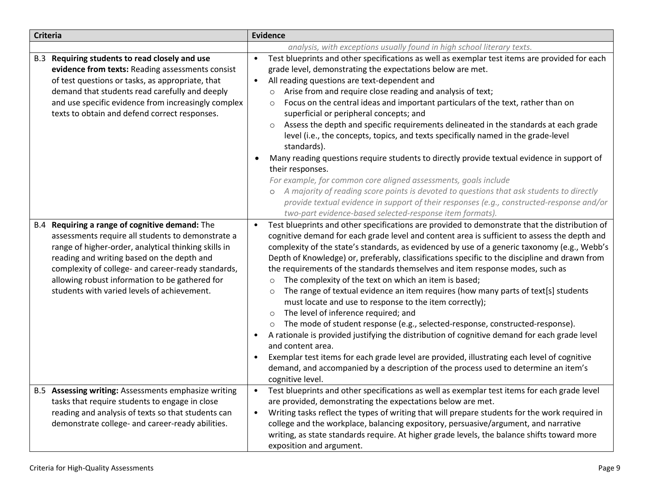| <b>Criteria</b> |                                                                                                                                                                                                                                                                                                                                                              | <b>Evidence</b>                                                                                                                                                                                                                                                                                                                                                                                                                                                                                                                                                                                                                                                                                                                                                                                                                                                                                                                                                                                                                                                                                                                                                                                 |  |
|-----------------|--------------------------------------------------------------------------------------------------------------------------------------------------------------------------------------------------------------------------------------------------------------------------------------------------------------------------------------------------------------|-------------------------------------------------------------------------------------------------------------------------------------------------------------------------------------------------------------------------------------------------------------------------------------------------------------------------------------------------------------------------------------------------------------------------------------------------------------------------------------------------------------------------------------------------------------------------------------------------------------------------------------------------------------------------------------------------------------------------------------------------------------------------------------------------------------------------------------------------------------------------------------------------------------------------------------------------------------------------------------------------------------------------------------------------------------------------------------------------------------------------------------------------------------------------------------------------|--|
|                 |                                                                                                                                                                                                                                                                                                                                                              | analysis, with exceptions usually found in high school literary texts.                                                                                                                                                                                                                                                                                                                                                                                                                                                                                                                                                                                                                                                                                                                                                                                                                                                                                                                                                                                                                                                                                                                          |  |
|                 | B.3 Requiring students to read closely and use<br>evidence from texts: Reading assessments consist<br>of test questions or tasks, as appropriate, that<br>demand that students read carefully and deeply<br>and use specific evidence from increasingly complex<br>texts to obtain and defend correct responses.                                             | Test blueprints and other specifications as well as exemplar test items are provided for each<br>$\bullet$<br>grade level, demonstrating the expectations below are met.<br>All reading questions are text-dependent and<br>$\bullet$<br>Arise from and require close reading and analysis of text;<br>$\circ$<br>Focus on the central ideas and important particulars of the text, rather than on<br>$\circ$<br>superficial or peripheral concepts; and<br>Assess the depth and specific requirements delineated in the standards at each grade<br>level (i.e., the concepts, topics, and texts specifically named in the grade-level<br>standards).<br>Many reading questions require students to directly provide textual evidence in support of<br>their responses.<br>For example, for common core aligned assessments, goals include<br>o A majority of reading score points is devoted to questions that ask students to directly<br>provide textual evidence in support of their responses (e.g., constructed-response and/or<br>two-part evidence-based selected-response item formats).                                                                                               |  |
| B.4             | Requiring a range of cognitive demand: The<br>assessments require all students to demonstrate a<br>range of higher-order, analytical thinking skills in<br>reading and writing based on the depth and<br>complexity of college- and career-ready standards,<br>allowing robust information to be gathered for<br>students with varied levels of achievement. | Test blueprints and other specifications are provided to demonstrate that the distribution of<br>$\bullet$<br>cognitive demand for each grade level and content area is sufficient to assess the depth and<br>complexity of the state's standards, as evidenced by use of a generic taxonomy (e.g., Webb's<br>Depth of Knowledge) or, preferably, classifications specific to the discipline and drawn from<br>the requirements of the standards themselves and item response modes, such as<br>The complexity of the text on which an item is based;<br>$\circ$<br>The range of textual evidence an item requires (how many parts of text[s] students<br>$\circ$<br>must locate and use to response to the item correctly);<br>The level of inference required; and<br>$\circ$<br>The mode of student response (e.g., selected-response, constructed-response).<br>A rationale is provided justifying the distribution of cognitive demand for each grade level<br>and content area.<br>Exemplar test items for each grade level are provided, illustrating each level of cognitive<br>demand, and accompanied by a description of the process used to determine an item's<br>cognitive level. |  |
|                 | B.5 Assessing writing: Assessments emphasize writing<br>tasks that require students to engage in close<br>reading and analysis of texts so that students can<br>demonstrate college- and career-ready abilities.                                                                                                                                             | Test blueprints and other specifications as well as exemplar test items for each grade level<br>are provided, demonstrating the expectations below are met.<br>Writing tasks reflect the types of writing that will prepare students for the work required in<br>$\bullet$<br>college and the workplace, balancing expository, persuasive/argument, and narrative<br>writing, as state standards require. At higher grade levels, the balance shifts toward more<br>exposition and argument.                                                                                                                                                                                                                                                                                                                                                                                                                                                                                                                                                                                                                                                                                                    |  |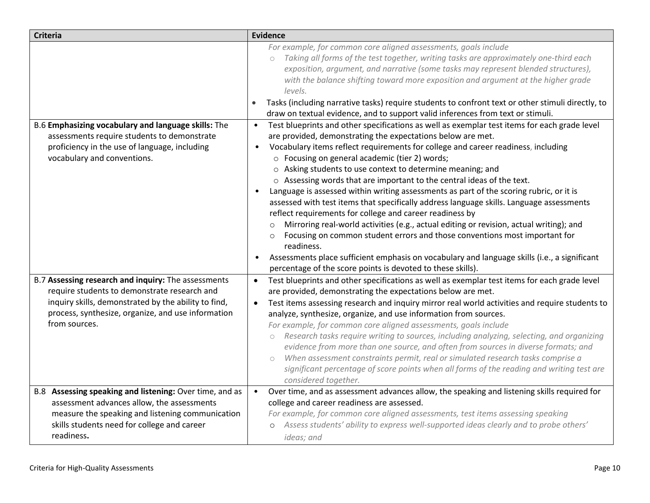| <b>Criteria</b>                                                                                                                                                                                                                    | <b>Evidence</b>                                                                                                                                                                                                                                                                                                                                                                                                                                                                                                                                                                                                                                                                                                                                                                                                                                                                                                                                                                                                           |
|------------------------------------------------------------------------------------------------------------------------------------------------------------------------------------------------------------------------------------|---------------------------------------------------------------------------------------------------------------------------------------------------------------------------------------------------------------------------------------------------------------------------------------------------------------------------------------------------------------------------------------------------------------------------------------------------------------------------------------------------------------------------------------------------------------------------------------------------------------------------------------------------------------------------------------------------------------------------------------------------------------------------------------------------------------------------------------------------------------------------------------------------------------------------------------------------------------------------------------------------------------------------|
|                                                                                                                                                                                                                                    | For example, for common core aligned assessments, goals include<br>Taking all forms of the test together, writing tasks are approximately one-third each<br>$\circ$<br>exposition, argument, and narrative (some tasks may represent blended structures),<br>with the balance shifting toward more exposition and argument at the higher grade<br>levels.<br>Tasks (including narrative tasks) require students to confront text or other stimuli directly, to<br>draw on textual evidence, and to support valid inferences from text or stimuli.                                                                                                                                                                                                                                                                                                                                                                                                                                                                         |
| B.6 Emphasizing vocabulary and language skills: The<br>assessments require students to demonstrate<br>proficiency in the use of language, including<br>vocabulary and conventions.                                                 | Test blueprints and other specifications as well as exemplar test items for each grade level<br>$\bullet$<br>are provided, demonstrating the expectations below are met.<br>Vocabulary items reflect requirements for college and career readiness, including<br>$\bullet$<br>○ Focusing on general academic (tier 2) words;<br>o Asking students to use context to determine meaning; and<br>o Assessing words that are important to the central ideas of the text.<br>Language is assessed within writing assessments as part of the scoring rubric, or it is<br>assessed with test items that specifically address language skills. Language assessments<br>reflect requirements for college and career readiness by<br>Mirroring real-world activities (e.g., actual editing or revision, actual writing); and<br>Focusing on common student errors and those conventions most important for<br>$\circ$<br>readiness.<br>Assessments place sufficient emphasis on vocabulary and language skills (i.e., a significant |
| B.7 Assessing research and inquiry: The assessments<br>require students to demonstrate research and<br>inquiry skills, demonstrated by the ability to find,<br>process, synthesize, organize, and use information<br>from sources. | percentage of the score points is devoted to these skills).<br>Test blueprints and other specifications as well as exemplar test items for each grade level<br>$\bullet$<br>are provided, demonstrating the expectations below are met.<br>Test items assessing research and inquiry mirror real world activities and require students to<br>$\bullet$<br>analyze, synthesize, organize, and use information from sources.<br>For example, for common core aligned assessments, goals include<br>Research tasks require writing to sources, including analyzing, selecting, and organizing<br>$\circ$<br>evidence from more than one source, and often from sources in diverse formats; and<br>When assessment constraints permit, real or simulated research tasks comprise a<br>$\bigcirc$<br>significant percentage of score points when all forms of the reading and writing test are<br>considered together.                                                                                                         |
| B.8 Assessing speaking and listening: Over time, and as<br>assessment advances allow, the assessments<br>measure the speaking and listening communication<br>skills students need for college and career<br>readiness.             | Over time, and as assessment advances allow, the speaking and listening skills required for<br>$\bullet$<br>college and career readiness are assessed.<br>For example, for common core aligned assessments, test items assessing speaking<br>Assess students' ability to express well-supported ideas clearly and to probe others'<br>$\circ$<br>ideas; and                                                                                                                                                                                                                                                                                                                                                                                                                                                                                                                                                                                                                                                               |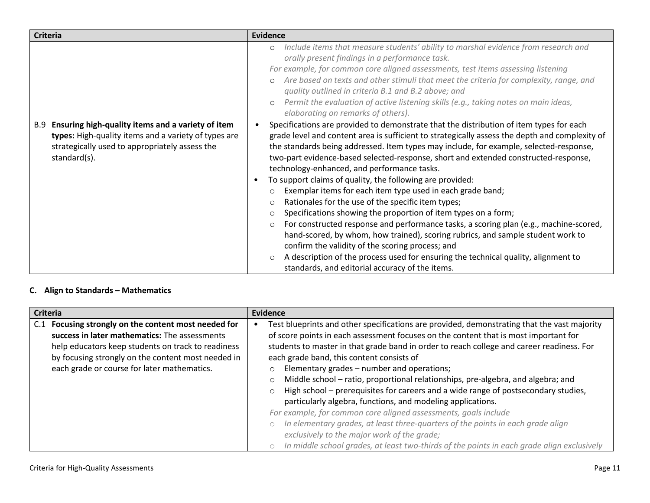| <b>Criteria</b>                                                                                                                                                                    | <b>Evidence</b>                                                                                                                                                                                                                                                                                                                                                                                                                                                                                                                                                                                                                                                                                                                                                                                                                                                                                                                                                                                                                                                                                              |  |
|------------------------------------------------------------------------------------------------------------------------------------------------------------------------------------|--------------------------------------------------------------------------------------------------------------------------------------------------------------------------------------------------------------------------------------------------------------------------------------------------------------------------------------------------------------------------------------------------------------------------------------------------------------------------------------------------------------------------------------------------------------------------------------------------------------------------------------------------------------------------------------------------------------------------------------------------------------------------------------------------------------------------------------------------------------------------------------------------------------------------------------------------------------------------------------------------------------------------------------------------------------------------------------------------------------|--|
|                                                                                                                                                                                    | Include items that measure students' ability to marshal evidence from research and<br>$\circ$<br>orally present findings in a performance task.<br>For example, for common core aligned assessments, test items assessing listening<br>Are based on texts and other stimuli that meet the criteria for complexity, range, and<br>quality outlined in criteria B.1 and B.2 above; and<br>Permit the evaluation of active listening skills (e.g., taking notes on main ideas,<br>$\circ$<br>elaborating on remarks of others).                                                                                                                                                                                                                                                                                                                                                                                                                                                                                                                                                                                 |  |
| Ensuring high-quality items and a variety of item<br>B.9<br>types: High-quality items and a variety of types are<br>strategically used to appropriately assess the<br>standard(s). | Specifications are provided to demonstrate that the distribution of item types for each<br>grade level and content area is sufficient to strategically assess the depth and complexity of<br>the standards being addressed. Item types may include, for example, selected-response,<br>two-part evidence-based selected-response, short and extended constructed-response,<br>technology-enhanced, and performance tasks.<br>To support claims of quality, the following are provided:<br>Exemplar items for each item type used in each grade band;<br>$\circ$<br>Rationales for the use of the specific item types;<br>$\circ$<br>Specifications showing the proportion of item types on a form;<br>$\circ$<br>For constructed response and performance tasks, a scoring plan (e.g., machine-scored,<br>$\circ$<br>hand-scored, by whom, how trained), scoring rubrics, and sample student work to<br>confirm the validity of the scoring process; and<br>A description of the process used for ensuring the technical quality, alignment to<br>$\circ$<br>standards, and editorial accuracy of the items. |  |

# **C. Align to Standards – Mathematics**

| <b>Criteria</b>                                                                                                                                                                                                                                                     | Evidence                                                                                                                                                                                                                                                                                                                                                                                                                                                                                                                                                                                                                                                                                                                                                                                                                                                                                                                |
|---------------------------------------------------------------------------------------------------------------------------------------------------------------------------------------------------------------------------------------------------------------------|-------------------------------------------------------------------------------------------------------------------------------------------------------------------------------------------------------------------------------------------------------------------------------------------------------------------------------------------------------------------------------------------------------------------------------------------------------------------------------------------------------------------------------------------------------------------------------------------------------------------------------------------------------------------------------------------------------------------------------------------------------------------------------------------------------------------------------------------------------------------------------------------------------------------------|
| Focusing strongly on the content most needed for<br>C.1<br>success in later mathematics: The assessments<br>help educators keep students on track to readiness<br>by focusing strongly on the content most needed in<br>each grade or course for later mathematics. | Test blueprints and other specifications are provided, demonstrating that the vast majority<br>of score points in each assessment focuses on the content that is most important for<br>students to master in that grade band in order to reach college and career readiness. For<br>each grade band, this content consists of<br>Elementary grades - number and operations;<br>Middle school - ratio, proportional relationships, pre-algebra, and algebra; and<br>High school – prerequisites for careers and a wide range of postsecondary studies,<br>particularly algebra, functions, and modeling applications.<br>For example, for common core aligned assessments, goals include<br>In elementary grades, at least three-quarters of the points in each grade align<br>exclusively to the major work of the grade;<br>In middle school grades, at least two-thirds of the points in each grade align exclusively |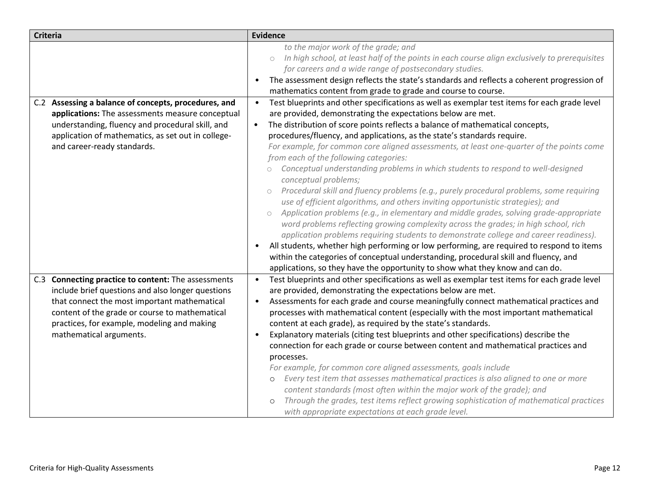| <b>Criteria</b>                                                                                                                                                                                                                                                                      | <b>Evidence</b>                                                                                                                                                                                                                                                                                                                                                                                                                                                                                                                                                                                                                                                                                                                                                                                                                                                                                                                                                                                                                                                                                                                                                                                                                                                                                                                                                      |
|--------------------------------------------------------------------------------------------------------------------------------------------------------------------------------------------------------------------------------------------------------------------------------------|----------------------------------------------------------------------------------------------------------------------------------------------------------------------------------------------------------------------------------------------------------------------------------------------------------------------------------------------------------------------------------------------------------------------------------------------------------------------------------------------------------------------------------------------------------------------------------------------------------------------------------------------------------------------------------------------------------------------------------------------------------------------------------------------------------------------------------------------------------------------------------------------------------------------------------------------------------------------------------------------------------------------------------------------------------------------------------------------------------------------------------------------------------------------------------------------------------------------------------------------------------------------------------------------------------------------------------------------------------------------|
|                                                                                                                                                                                                                                                                                      | to the major work of the grade; and<br>In high school, at least half of the points in each course align exclusively to prerequisites<br>$\bigcirc$<br>for careers and a wide range of postsecondary studies.<br>The assessment design reflects the state's standards and reflects a coherent progression of<br>$\bullet$<br>mathematics content from grade to grade and course to course.                                                                                                                                                                                                                                                                                                                                                                                                                                                                                                                                                                                                                                                                                                                                                                                                                                                                                                                                                                            |
| C.2 Assessing a balance of concepts, procedures, and<br>applications: The assessments measure conceptual<br>understanding, fluency and procedural skill, and<br>application of mathematics, as set out in college-<br>and career-ready standards.                                    | Test blueprints and other specifications as well as exemplar test items for each grade level<br>$\bullet$<br>are provided, demonstrating the expectations below are met.<br>The distribution of score points reflects a balance of mathematical concepts,<br>$\bullet$<br>procedures/fluency, and applications, as the state's standards require.<br>For example, for common core aligned assessments, at least one-quarter of the points come<br>from each of the following categories:<br>Conceptual understanding problems in which students to respond to well-designed<br>conceptual problems;<br>Procedural skill and fluency problems (e.g., purely procedural problems, some requiring<br>$\circ$<br>use of efficient algorithms, and others inviting opportunistic strategies); and<br>Application problems (e.g., in elementary and middle grades, solving grade-appropriate<br>$\circ$<br>word problems reflecting growing complexity across the grades; in high school, rich<br>application problems requiring students to demonstrate college and career readiness).<br>All students, whether high performing or low performing, are required to respond to items<br>$\bullet$<br>within the categories of conceptual understanding, procedural skill and fluency, and<br>applications, so they have the opportunity to show what they know and can do. |
| C.3 Connecting practice to content: The assessments<br>include brief questions and also longer questions<br>that connect the most important mathematical<br>content of the grade or course to mathematical<br>practices, for example, modeling and making<br>mathematical arguments. | Test blueprints and other specifications as well as exemplar test items for each grade level<br>$\bullet$<br>are provided, demonstrating the expectations below are met.<br>Assessments for each grade and course meaningfully connect mathematical practices and<br>$\bullet$<br>processes with mathematical content (especially with the most important mathematical<br>content at each grade), as required by the state's standards.<br>Explanatory materials (citing test blueprints and other specifications) describe the<br>connection for each grade or course between content and mathematical practices and<br>processes.<br>For example, for common core aligned assessments, goals include<br>Every test item that assesses mathematical practices is also aligned to one or more<br>$\circ$<br>content standards (most often within the major work of the grade); and<br>Through the grades, test items reflect growing sophistication of mathematical practices<br>with appropriate expectations at each grade level.                                                                                                                                                                                                                                                                                                                                  |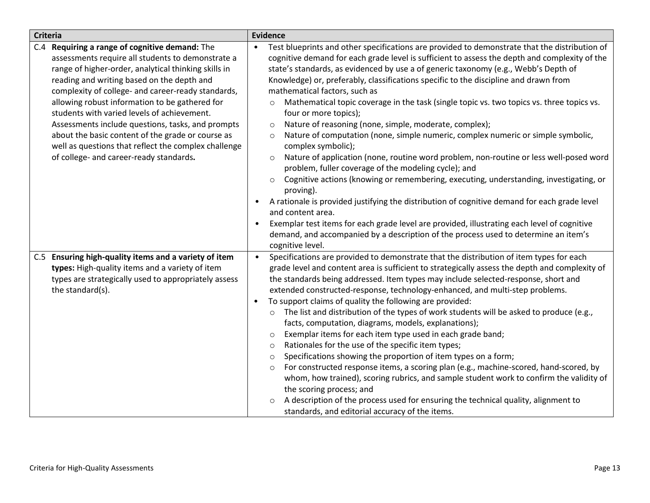| <b>Criteria</b> |                                                                                                                                                                                                                                                                                                                                                                                                                                                                                                                                                                               |                                     | <b>Evidence</b>                                                                                                                                                                                                                                                                                                                                                                                                                                                                                                                                                                                                                                                                                                                                                                                                                                                                                                                                                                                                                                                                                                                                                                                                                                                                                                                                         |  |  |
|-----------------|-------------------------------------------------------------------------------------------------------------------------------------------------------------------------------------------------------------------------------------------------------------------------------------------------------------------------------------------------------------------------------------------------------------------------------------------------------------------------------------------------------------------------------------------------------------------------------|-------------------------------------|---------------------------------------------------------------------------------------------------------------------------------------------------------------------------------------------------------------------------------------------------------------------------------------------------------------------------------------------------------------------------------------------------------------------------------------------------------------------------------------------------------------------------------------------------------------------------------------------------------------------------------------------------------------------------------------------------------------------------------------------------------------------------------------------------------------------------------------------------------------------------------------------------------------------------------------------------------------------------------------------------------------------------------------------------------------------------------------------------------------------------------------------------------------------------------------------------------------------------------------------------------------------------------------------------------------------------------------------------------|--|--|
|                 | C.4 Requiring a range of cognitive demand: The<br>assessments require all students to demonstrate a<br>range of higher-order, analytical thinking skills in<br>reading and writing based on the depth and<br>complexity of college- and career-ready standards,<br>allowing robust information to be gathered for<br>students with varied levels of achievement.<br>Assessments include questions, tasks, and prompts<br>about the basic content of the grade or course as<br>well as questions that reflect the complex challenge<br>of college- and career-ready standards. | $\bullet$<br>$\bullet$<br>$\bullet$ | Test blueprints and other specifications are provided to demonstrate that the distribution of<br>cognitive demand for each grade level is sufficient to assess the depth and complexity of the<br>state's standards, as evidenced by use a of generic taxonomy (e.g., Webb's Depth of<br>Knowledge) or, preferably, classifications specific to the discipline and drawn from<br>mathematical factors, such as<br>Mathematical topic coverage in the task (single topic vs. two topics vs. three topics vs.<br>$\circ$<br>four or more topics);<br>Nature of reasoning (none, simple, moderate, complex);<br>$\circ$<br>Nature of computation (none, simple numeric, complex numeric or simple symbolic,<br>$\circ$<br>complex symbolic);<br>Nature of application (none, routine word problem, non-routine or less well-posed word<br>$\circ$<br>problem, fuller coverage of the modeling cycle); and<br>Cognitive actions (knowing or remembering, executing, understanding, investigating, or<br>$\circ$<br>proving).<br>A rationale is provided justifying the distribution of cognitive demand for each grade level<br>and content area.<br>Exemplar test items for each grade level are provided, illustrating each level of cognitive<br>demand, and accompanied by a description of the process used to determine an item's<br>cognitive level. |  |  |
|                 | C.5 Ensuring high-quality items and a variety of item<br>types: High-quality items and a variety of item<br>types are strategically used to appropriately assess<br>the standard(s).                                                                                                                                                                                                                                                                                                                                                                                          | $\bullet$                           | Specifications are provided to demonstrate that the distribution of item types for each<br>grade level and content area is sufficient to strategically assess the depth and complexity of<br>the standards being addressed. Item types may include selected-response, short and<br>extended constructed-response, technology-enhanced, and multi-step problems.<br>To support claims of quality the following are provided:<br>The list and distribution of the types of work students will be asked to produce (e.g.,<br>$\circ$<br>facts, computation, diagrams, models, explanations);<br>Exemplar items for each item type used in each grade band;<br>$\circ$<br>Rationales for the use of the specific item types;<br>O<br>Specifications showing the proportion of item types on a form;<br>$\circ$<br>For constructed response items, a scoring plan (e.g., machine-scored, hand-scored, by<br>$\circ$<br>whom, how trained), scoring rubrics, and sample student work to confirm the validity of<br>the scoring process; and<br>A description of the process used for ensuring the technical quality, alignment to<br>$\circ$<br>standards, and editorial accuracy of the items.                                                                                                                                                               |  |  |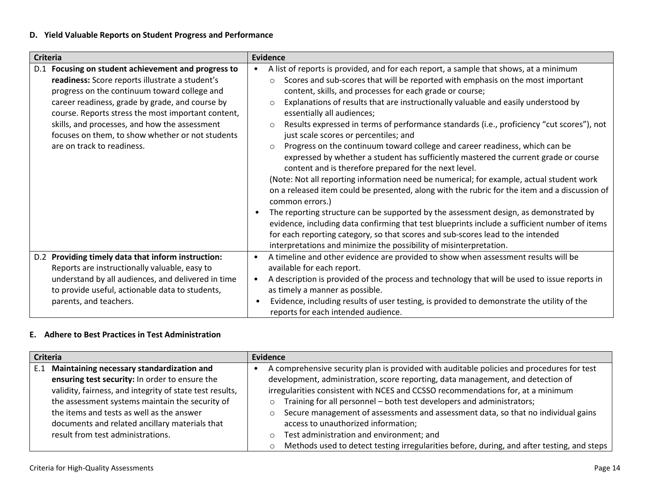# **D. Yield Valuable Reports on Student Progress and Performance**

| <b>Criteria</b>                                                                                                                                                                                                                                                                                                                                                                                    | <b>Evidence</b>                                                                                                                                                                                                                                                                                                                                                                                                                                                                                                                                                                                                                                                                                                                                                                                                                                                                                                                                                                                                                                                                                                                                                                                                                                                                                                                               |
|----------------------------------------------------------------------------------------------------------------------------------------------------------------------------------------------------------------------------------------------------------------------------------------------------------------------------------------------------------------------------------------------------|-----------------------------------------------------------------------------------------------------------------------------------------------------------------------------------------------------------------------------------------------------------------------------------------------------------------------------------------------------------------------------------------------------------------------------------------------------------------------------------------------------------------------------------------------------------------------------------------------------------------------------------------------------------------------------------------------------------------------------------------------------------------------------------------------------------------------------------------------------------------------------------------------------------------------------------------------------------------------------------------------------------------------------------------------------------------------------------------------------------------------------------------------------------------------------------------------------------------------------------------------------------------------------------------------------------------------------------------------|
| D.1 Focusing on student achievement and progress to<br>readiness: Score reports illustrate a student's<br>progress on the continuum toward college and<br>career readiness, grade by grade, and course by<br>course. Reports stress the most important content,<br>skills, and processes, and how the assessment<br>focuses on them, to show whether or not students<br>are on track to readiness. | A list of reports is provided, and for each report, a sample that shows, at a minimum<br>Scores and sub-scores that will be reported with emphasis on the most important<br>$\circ$<br>content, skills, and processes for each grade or course;<br>Explanations of results that are instructionally valuable and easily understood by<br>$\circ$<br>essentially all audiences;<br>Results expressed in terms of performance standards (i.e., proficiency "cut scores"), not<br>$\circ$<br>just scale scores or percentiles; and<br>Progress on the continuum toward college and career readiness, which can be<br>$\circ$<br>expressed by whether a student has sufficiently mastered the current grade or course<br>content and is therefore prepared for the next level.<br>(Note: Not all reporting information need be numerical; for example, actual student work<br>on a released item could be presented, along with the rubric for the item and a discussion of<br>common errors.)<br>The reporting structure can be supported by the assessment design, as demonstrated by<br>evidence, including data confirming that test blueprints include a sufficient number of items<br>for each reporting category, so that scores and sub-scores lead to the intended<br>interpretations and minimize the possibility of misinterpretation. |
| D.2 Providing timely data that inform instruction:<br>Reports are instructionally valuable, easy to<br>understand by all audiences, and delivered in time<br>to provide useful, actionable data to students,<br>parents, and teachers.                                                                                                                                                             | A timeline and other evidence are provided to show when assessment results will be<br>$\bullet$<br>available for each report.<br>A description is provided of the process and technology that will be used to issue reports in<br>as timely a manner as possible.<br>Evidence, including results of user testing, is provided to demonstrate the utility of the<br>reports for each intended audience.                                                                                                                                                                                                                                                                                                                                                                                                                                                                                                                                                                                                                                                                                                                                                                                                                                                                                                                                        |

# **E. Adhere to Best Practices in Test Administration**

| <b>Criteria</b> |                                                          | <b>Evidence</b>                                                                              |
|-----------------|----------------------------------------------------------|----------------------------------------------------------------------------------------------|
| E.1             | Maintaining necessary standardization and                | A comprehensive security plan is provided with auditable policies and procedures for test    |
|                 | ensuring test security: In order to ensure the           | development, administration, score reporting, data management, and detection of              |
|                 | validity, fairness, and integrity of state test results, | irregularities consistent with NCES and CCSSO recommendations for, at a minimum              |
|                 | the assessment systems maintain the security of          | Training for all personnel - both test developers and administrators;<br>$\circ$             |
|                 | the items and tests as well as the answer                | Secure management of assessments and assessment data, so that no individual gains<br>$\circ$ |
|                 | documents and related ancillary materials that           | access to unauthorized information;                                                          |
|                 | result from test administrations.                        | Test administration and environment; and<br>$\circ$                                          |
|                 |                                                          | Methods used to detect testing irregularities before, during, and after testing, and steps   |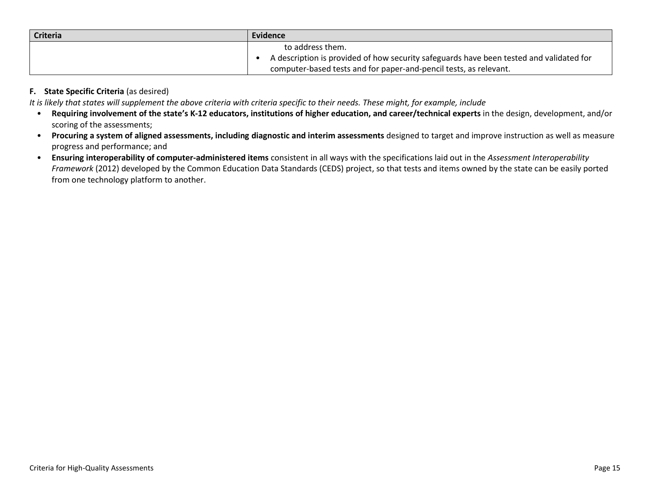| <b>Criteria</b> | <b>Evidence</b>                                                                         |
|-----------------|-----------------------------------------------------------------------------------------|
|                 | to address them.                                                                        |
|                 | A description is provided of how security safeguards have been tested and validated for |
|                 | computer-based tests and for paper-and-pencil tests, as relevant.                       |

### **F. State Specific Criteria** (as desired)

*It is likely that states will supplement the above criteria with criteria specific to their needs. These might, for example, include*

- **Requiring involvement of the state's K-12 educators, institutions of higher education, and career/technical experts** in the design, development, and/or scoring of the assessments;
- **Procuring a system of aligned assessments, including diagnostic and interim assessments** designed to target and improve instruction as well as measure progress and performance; and
- **Ensuring interoperability of computer-administered items** consistent in all ways with the specifications laid out in the *Assessment Interoperability Framework* (2012) developed by the Common Education Data Standards (CEDS) project, so that tests and items owned by the state can be easily ported from one technology platform to another.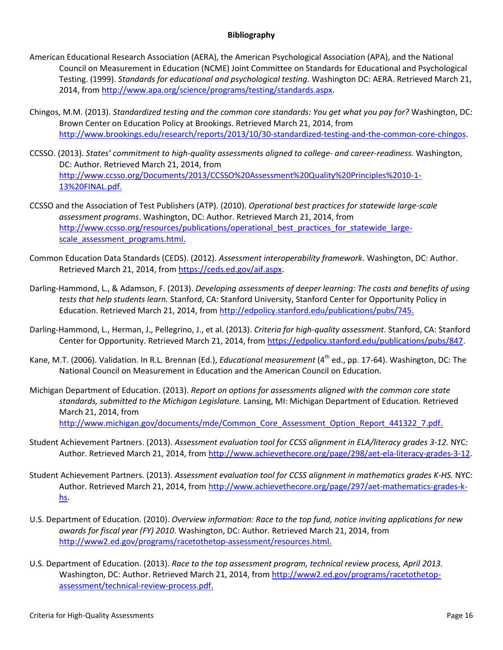#### **Bibliography**

- American Educational Research Association (AERA), the American Psychological Association (APA), and the National Council on Measurement in Education (NCME) Joint Committee on Standards for Educational and Psychological Testing. (1999). *Standards for educational and psychological testing*. Washington DC: AERA. Retrieved March 21, 2014, from [http://www.apa.org/science/programs/testing/standards.aspx.](http://www.apa.org/science/programs/testing/standards.aspx)
- Chingos, M.M. (2013). *[Standardized testing and the common core standards: You get what you pay for?](http://www.brookings.edu/~/media/research/files/reports/2013/10/30-cost-of-common-core-assessments-chingos/standardized-testing-and-the-common-core-standards_final_print.pdf)* Washington, DC: Brown Center on Education Policy at Brookings. Retrieved March 21, 2014, from [http://www.brookings.edu/research/reports/2013/10/30-standardized-testing-and-the-common-core-chingos.](http://www.brookings.edu/research/reports/2013/10/30-standardized-testing-and-the-common-core-chingos)
- CCSSO. (2013). *States' commitment to high-quality assessments aligned to college- and career-readiness.* Washington, DC: Author. Retrieved March 21, 2014, from [http://www.ccsso.org/Documents/2013/CCSSO%20Assessment%20Quality%20Principles%2010-1-](http://www.ccsso.org/Documents/2013/CCSSO%20Assessment%20Quality%20Principles%2010-1-13%20FINAL.pdf) [13%20FINAL.pdf.](http://www.ccsso.org/Documents/2013/CCSSO%20Assessment%20Quality%20Principles%2010-1-13%20FINAL.pdf)
- CCSSO and the Association of Test Publishers (ATP). (2010). *Operational best practices for statewide large-scale assessment programs*. Washington, DC: Author. Retrieved March 21, 2014, from [http://www.ccsso.org/resources/publications/operational\\_best\\_practices\\_for\\_statewide\\_large](http://www.ccsso.org/resources/publications/operational_best_practices_for_statewide_large-scale_assessment_programs.html)[scale\\_assessment\\_programs.html.](http://www.ccsso.org/resources/publications/operational_best_practices_for_statewide_large-scale_assessment_programs.html)
- Common Education Data Standards (CEDS). (2012). *Assessment interoperability framework*. Washington, DC: Author. Retrieved March 21, 2014, from [https://ceds.ed.gov/aif.aspx.](https://ceds.ed.gov/aif.aspx)
- Darling-Hammond, L., & Adamson, F. (2013). *Developing assessments of deeper learning: The costs and benefits of using tests that help students learn.* Stanford, CA: Stanford University, Stanford Center for Opportunity Policy in Education. Retrieved March 21, 2014, from [http://edpolicy.stanford.edu/publications/pubs/745.](http://edpolicy.stanford.edu/publications/pubs/745)
- Darling-Hammond, L., Herman, J., Pellegrino, J., et al. (2013). *Criteria for high-quality assessment*. Stanford, CA: Stanford Center for Opportunity. Retrieved March 21, 2014, fro[m https://edpolicy.stanford.edu/publications/pubs/847.](https://edpolicy.stanford.edu/publications/pubs/847)
- Kane, M.T. (2006). Validation. In R.L. Brennan (Ed.), *Educational measurement* (4th ed., pp. 17-64). Washington, DC: The National Council on Measurement in Education and the American Council on Education.
- Michigan Department of Education. (2013). *Report on options for assessments aligned with the common core state standards, submitted to the Michigan Legislature.* Lansing, MI: Michigan Department of Education*.* Retrieved March 21, 2014, from [http://www.michigan.gov/documents/mde/Common\\_Core\\_Assessment\\_Option\\_Report\\_441322\\_7.pdf.](http://www.michigan.gov/documents/mde/Common_Core_Assessment_Option_Report_441322_7.pdf)
- Student Achievement Partners. (2013). *Assessment evaluation tool for CCSS alignment in ELA/literacy grades 3-12.* NYC: Author. Retrieved March 21, 2014, from [http://www.achievethecore.org/page/298/aet-ela-literacy-grades-3-12.](http://www.achievethecore.org/page/298/aet-ela-literacy-grades-3-12)
- Student Achievement Partners. (2013). *Assessment evaluation tool for CCSS alignment in mathematics grades K-HS.* NYC: Author. Retrieved March 21, 2014, from [http://www.achievethecore.org/page/297/aet-mathematics-grades-k](http://www.achievethecore.org/page/297/aet-mathematics-grades-k-hs)[hs.](http://www.achievethecore.org/page/297/aet-mathematics-grades-k-hs)
- U.S. Department of Education. (2010). *Overview information: Race to the top fund, notice inviting applications for new awards for fiscal year (FY) 2010*. Washington, DC: Author. Retrieved March 21, 2014, from [http://www2.ed.gov/programs/racetothetop-assessment/resources.html.](http://www2.ed.gov/programs/racetothetop-assessment/resources.html)
- U.S. Department of Education. (2013). *Race to the top assessment program, technical review process, April 2013.*  Washington, DC: Author. Retrieved March 21, 2014, from [http://www2.ed.gov/programs/racetothetop](http://www2.ed.gov/programs/racetothetop-assessment/technical-review-process.pdf)[assessment/technical-review-process.pdf.](http://www2.ed.gov/programs/racetothetop-assessment/technical-review-process.pdf)